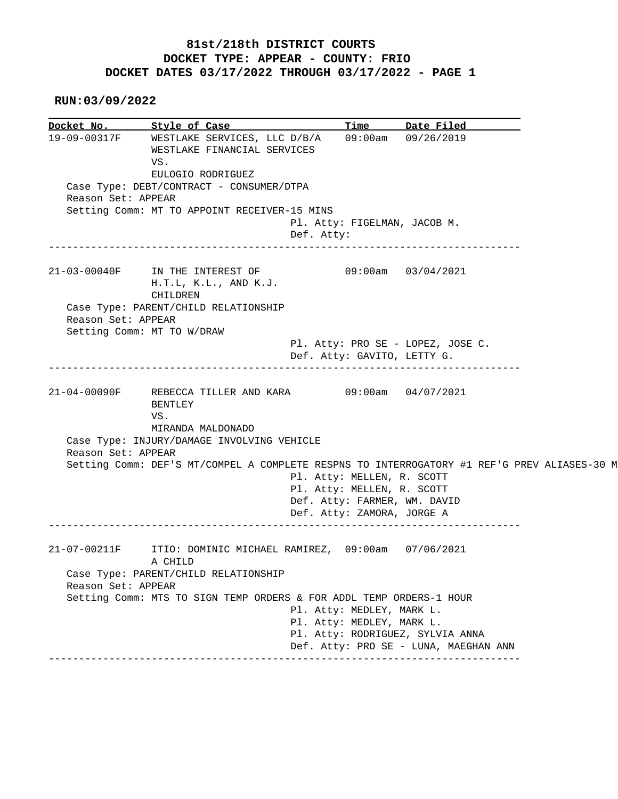## **81st/218th DISTRICT COURTS DOCKET TYPE: APPEAR - COUNTY: FRIO DOCKET DATES 03/17/2022 THROUGH 03/17/2022 - PAGE 1**

 **RUN:03/09/2022**

**<u>Docket No.</u> Style of Case Time Date Filed**  19-09-00317F WESTLAKE SERVICES, LLC D/B/A 09:00am 09/26/2019 WESTLAKE FINANCIAL SERVICES VS. EULOGIO RODRIGUEZ Case Type: DEBT/CONTRACT - CONSUMER/DTPA Reason Set: APPEAR Setting Comm: MT TO APPOINT RECEIVER-15 MINS Pl. Atty: FIGELMAN, JACOB M. Def. Atty: ------------------------------------------------------------------------------ 21-03-00040F IN THE INTEREST OF 09:00am 03/04/2021 H.T.L, K.L., AND K.J. CHILDREN Case Type: PARENT/CHILD RELATIONSHIP Reason Set: APPEAR Setting Comm: MT TO W/DRAW Pl. Atty: PRO SE - LOPEZ, JOSE C. Def. Atty: GAVITO, LETTY G. ------------------------------------------------------------------------------ 21-04-00090F REBECCA TILLER AND KARA 09:00am 04/07/2021 BENTLEY VS. MIRANDA MALDONADO Case Type: INJURY/DAMAGE INVOLVING VEHICLE Reason Set: APPEAR Setting Comm: DEF'S MT/COMPEL A COMPLETE RESPNS TO INTERROGATORY #1 REF'G PREV ALIASES-30 M Pl. Atty: MELLEN, R. SCOTT Pl. Atty: MELLEN, R. SCOTT Def. Atty: FARMER, WM. DAVID Def. Atty: ZAMORA, JORGE A ------------------------------------------------------------------------------ 21-07-00211F ITIO: DOMINIC MICHAEL RAMIREZ, 09:00am 07/06/2021 A CHILD Case Type: PARENT/CHILD RELATIONSHIP Reason Set: APPEAR Setting Comm: MTS TO SIGN TEMP ORDERS & FOR ADDL TEMP ORDERS-1 HOUR Pl. Atty: MEDLEY, MARK L. Pl. Atty: MEDLEY, MARK L. Pl. Atty: RODRIGUEZ, SYLVIA ANNA Def. Atty: PRO SE - LUNA, MAEGHAN ANN ------------------------------------------------------------------------------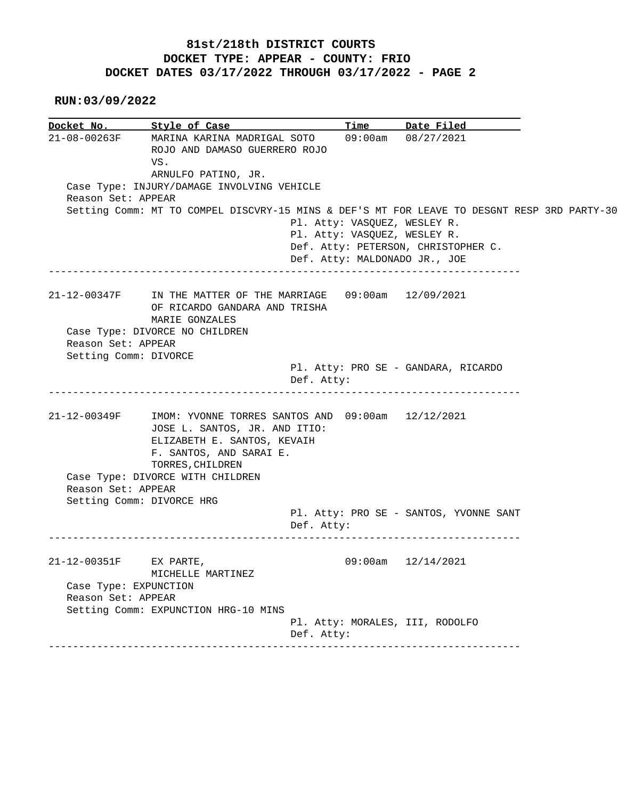## **81st/218th DISTRICT COURTS DOCKET TYPE: APPEAR - COUNTY: FRIO DOCKET DATES 03/17/2022 THROUGH 03/17/2022 - PAGE 2**

 **RUN:03/09/2022**

|                        | Docket No. Style of Case                                                                    | Time                            | Date Filed                             |  |
|------------------------|---------------------------------------------------------------------------------------------|---------------------------------|----------------------------------------|--|
| 21-08-00263F           | MARINA KARINA MADRIGAL SOTO<br>ROJO AND DAMASO GUERRERO ROJO<br>VS.                         | 09:00am                         | 08/27/2021                             |  |
|                        | ARNULFO PATINO, JR.                                                                         |                                 |                                        |  |
|                        | Case Type: INJURY/DAMAGE INVOLVING VEHICLE                                                  |                                 |                                        |  |
| Reason Set: APPEAR     |                                                                                             |                                 |                                        |  |
|                        | Setting Comm: MT TO COMPEL DISCVRY-15 MINS & DEF'S MT FOR LEAVE TO DESGNT RESP 3RD PARTY-30 |                                 |                                        |  |
|                        |                                                                                             | Pl. Atty: VASQUEZ, WESLEY R.    |                                        |  |
|                        |                                                                                             | Pl. Atty: VASQUEZ, WESLEY R.    |                                        |  |
|                        |                                                                                             |                                 | Def. Atty: PETERSON, CHRISTOPHER C.    |  |
|                        |                                                                                             | Def. Atty: MALDONADO JR., JOE   |                                        |  |
|                        |                                                                                             |                                 |                                        |  |
|                        | 21-12-00347F IN THE MATTER OF THE MARRIAGE 09:00am 12/09/2021                               |                                 |                                        |  |
|                        | OF RICARDO GANDARA AND TRISHA                                                               |                                 |                                        |  |
|                        | MARIE GONZALES                                                                              |                                 |                                        |  |
| Reason Set: APPEAR     | Case Type: DIVORCE NO CHILDREN                                                              |                                 |                                        |  |
| Setting Comm: DIVORCE  |                                                                                             |                                 |                                        |  |
|                        |                                                                                             |                                 | Pl. Atty: PRO SE - GANDARA, RICARDO    |  |
|                        |                                                                                             | Def. Atty:                      |                                        |  |
|                        |                                                                                             |                                 |                                        |  |
|                        |                                                                                             |                                 |                                        |  |
|                        |                                                                                             |                                 |                                        |  |
|                        | IMOM: YVONNE TORRES SANTOS AND 09:00am 12/12/2021                                           |                                 |                                        |  |
|                        | JOSE L. SANTOS, JR. AND ITIO:                                                               |                                 |                                        |  |
|                        | ELIZABETH E. SANTOS, KEVAIH                                                                 |                                 |                                        |  |
|                        | F. SANTOS, AND SARAI E.                                                                     |                                 |                                        |  |
|                        | TORRES, CHILDREN                                                                            |                                 |                                        |  |
|                        | Case Type: DIVORCE WITH CHILDREN                                                            |                                 |                                        |  |
| Reason Set: APPEAR     |                                                                                             |                                 |                                        |  |
|                        | Setting Comm: DIVORCE HRG                                                                   |                                 |                                        |  |
| 21-12-00349F           |                                                                                             |                                 | Pl. Atty: PRO SE - SANTOS, YVONNE SANT |  |
|                        | ___________________________________                                                         | Def. Atty:                      |                                        |  |
|                        |                                                                                             |                                 |                                        |  |
| 21-12-00351F EX PARTE, |                                                                                             |                                 | $09:00$ am $12/14/2021$                |  |
|                        | MICHELLE MARTINEZ                                                                           |                                 |                                        |  |
| Case Type: EXPUNCTION  |                                                                                             |                                 |                                        |  |
| Reason Set: APPEAR     |                                                                                             |                                 |                                        |  |
|                        | Setting Comm: EXPUNCTION HRG-10 MINS                                                        | Pl. Atty: MORALES, III, RODOLFO |                                        |  |